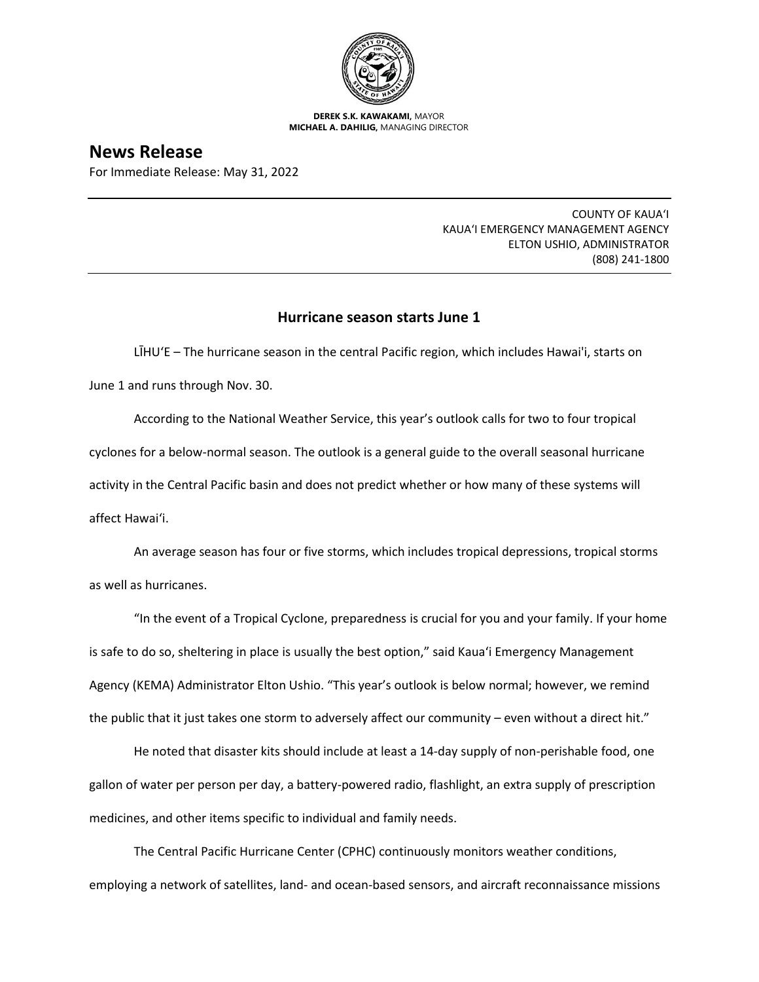

**DEREK S.K. KAWAKAMI,** MAYOR **MICHAEL A. DAHILIG,** MANAGING DIRECTOR

**News Release**

For Immediate Release: May 31, 2022

COUNTY OF KAUA'I KAUA'I EMERGENCY MANAGEMENT AGENCY ELTON USHIO, ADMINISTRATOR (808) 241-1800

## **Hurricane season starts June 1**

LĪHU'E – The hurricane season in the central Pacific region, which includes Hawai'i, starts on June 1 and runs through Nov. 30.

According to the National Weather Service, this year's outlook calls for two to four tropical cyclones for a below-normal season. The outlook is a general guide to the overall seasonal hurricane activity in the Central Pacific basin and does not predict whether or how many of these systems will affect Hawai'i.

An average season has four or five storms, which includes tropical depressions, tropical storms as well as hurricanes.

"In the event of a Tropical Cyclone, preparedness is crucial for you and your family. If your home is safe to do so, sheltering in place is usually the best option," said Kaua'i Emergency Management Agency (KEMA) Administrator Elton Ushio. "This year's outlook is below normal; however, we remind the public that it just takes one storm to adversely affect our community – even without a direct hit."

He noted that disaster kits should include at least a 14-day supply of non-perishable food, one gallon of water per person per day, a battery-powered radio, flashlight, an extra supply of prescription medicines, and other items specific to individual and family needs.

The Central Pacific Hurricane Center (CPHC) continuously monitors weather conditions, employing a network of satellites, land- and ocean-based sensors, and aircraft reconnaissance missions